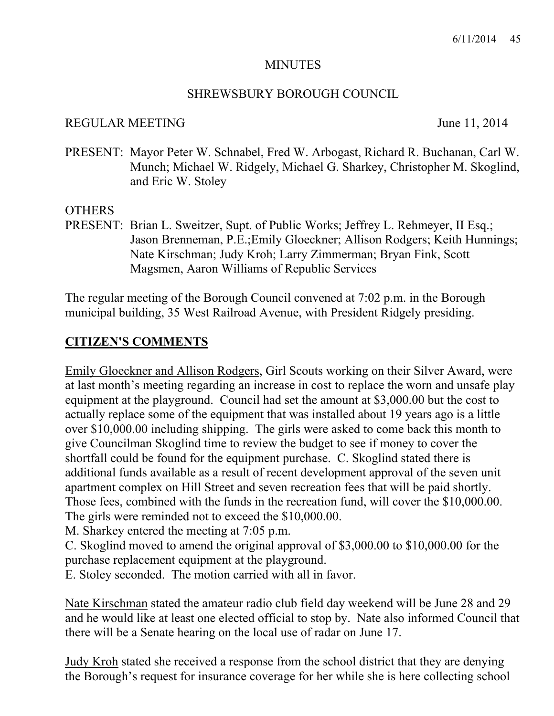#### **MINUTES**

#### SHREWSBURY BOROUGH COUNCIL

#### REGULAR MEETING June 11, 2014

PRESENT: Mayor Peter W. Schnabel, Fred W. Arbogast, Richard R. Buchanan, Carl W. Munch; Michael W. Ridgely, Michael G. Sharkey, Christopher M. Skoglind, and Eric W. Stoley

## **OTHERS**

PRESENT: Brian L. Sweitzer, Supt. of Public Works; Jeffrey L. Rehmeyer, II Esq.; Jason Brenneman, P.E.;Emily Gloeckner; Allison Rodgers; Keith Hunnings; Nate Kirschman; Judy Kroh; Larry Zimmerman; Bryan Fink, Scott Magsmen, Aaron Williams of Republic Services

The regular meeting of the Borough Council convened at 7:02 p.m. in the Borough municipal building, 35 West Railroad Avenue, with President Ridgely presiding.

## **CITIZEN'S COMMENTS**

Emily Gloeckner and Allison Rodgers, Girl Scouts working on their Silver Award, were at last month's meeting regarding an increase in cost to replace the worn and unsafe play equipment at the playground. Council had set the amount at \$3,000.00 but the cost to actually replace some of the equipment that was installed about 19 years ago is a little over \$10,000.00 including shipping. The girls were asked to come back this month to give Councilman Skoglind time to review the budget to see if money to cover the shortfall could be found for the equipment purchase. C. Skoglind stated there is additional funds available as a result of recent development approval of the seven unit apartment complex on Hill Street and seven recreation fees that will be paid shortly. Those fees, combined with the funds in the recreation fund, will cover the \$10,000.00. The girls were reminded not to exceed the \$10,000.00.

M. Sharkey entered the meeting at 7:05 p.m.

C. Skoglind moved to amend the original approval of \$3,000.00 to \$10,000.00 for the purchase replacement equipment at the playground.

E. Stoley seconded. The motion carried with all in favor.

Nate Kirschman stated the amateur radio club field day weekend will be June 28 and 29 and he would like at least one elected official to stop by. Nate also informed Council that there will be a Senate hearing on the local use of radar on June 17.

Judy Kroh stated she received a response from the school district that they are denying the Borough's request for insurance coverage for her while she is here collecting school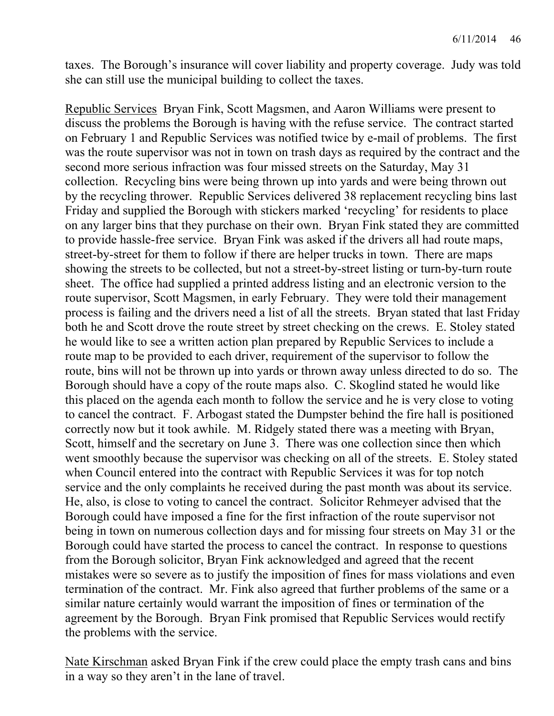taxes. The Borough's insurance will cover liability and property coverage. Judy was told she can still use the municipal building to collect the taxes.

Republic Services Bryan Fink, Scott Magsmen, and Aaron Williams were present to discuss the problems the Borough is having with the refuse service. The contract started on February 1 and Republic Services was notified twice by e-mail of problems. The first was the route supervisor was not in town on trash days as required by the contract and the second more serious infraction was four missed streets on the Saturday, May 31 collection. Recycling bins were being thrown up into yards and were being thrown out by the recycling thrower. Republic Services delivered 38 replacement recycling bins last Friday and supplied the Borough with stickers marked 'recycling' for residents to place on any larger bins that they purchase on their own. Bryan Fink stated they are committed to provide hassle-free service. Bryan Fink was asked if the drivers all had route maps, street-by-street for them to follow if there are helper trucks in town. There are maps showing the streets to be collected, but not a street-by-street listing or turn-by-turn route sheet. The office had supplied a printed address listing and an electronic version to the route supervisor, Scott Magsmen, in early February. They were told their management process is failing and the drivers need a list of all the streets. Bryan stated that last Friday both he and Scott drove the route street by street checking on the crews. E. Stoley stated he would like to see a written action plan prepared by Republic Services to include a route map to be provided to each driver, requirement of the supervisor to follow the route, bins will not be thrown up into yards or thrown away unless directed to do so. The Borough should have a copy of the route maps also. C. Skoglind stated he would like this placed on the agenda each month to follow the service and he is very close to voting to cancel the contract. F. Arbogast stated the Dumpster behind the fire hall is positioned correctly now but it took awhile. M. Ridgely stated there was a meeting with Bryan, Scott, himself and the secretary on June 3. There was one collection since then which went smoothly because the supervisor was checking on all of the streets. E. Stoley stated when Council entered into the contract with Republic Services it was for top notch service and the only complaints he received during the past month was about its service. He, also, is close to voting to cancel the contract. Solicitor Rehmeyer advised that the Borough could have imposed a fine for the first infraction of the route supervisor not being in town on numerous collection days and for missing four streets on May 31 or the Borough could have started the process to cancel the contract. In response to questions from the Borough solicitor, Bryan Fink acknowledged and agreed that the recent mistakes were so severe as to justify the imposition of fines for mass violations and even termination of the contract. Mr. Fink also agreed that further problems of the same or a similar nature certainly would warrant the imposition of fines or termination of the agreement by the Borough. Bryan Fink promised that Republic Services would rectify the problems with the service.

Nate Kirschman asked Bryan Fink if the crew could place the empty trash cans and bins in a way so they aren't in the lane of travel.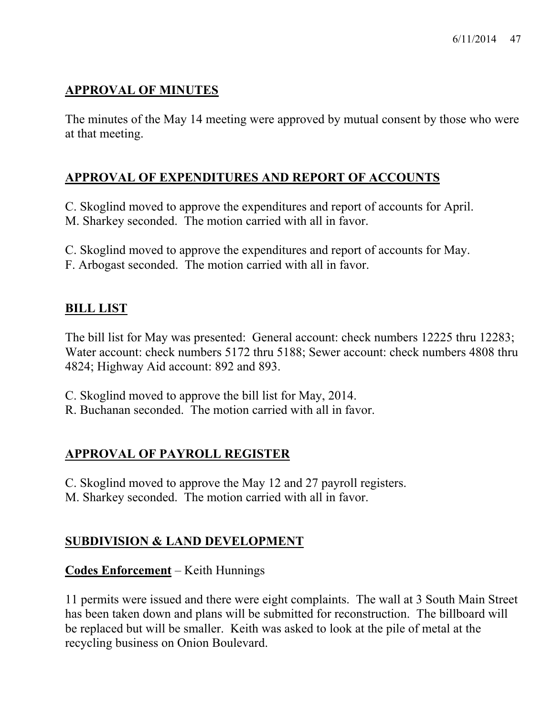## **APPROVAL OF MINUTES**

The minutes of the May 14 meeting were approved by mutual consent by those who were at that meeting.

## **APPROVAL OF EXPENDITURES AND REPORT OF ACCOUNTS**

C. Skoglind moved to approve the expenditures and report of accounts for April. M. Sharkey seconded. The motion carried with all in favor.

- C. Skoglind moved to approve the expenditures and report of accounts for May.
- F. Arbogast seconded. The motion carried with all in favor.

## **BILL LIST**

The bill list for May was presented: General account: check numbers 12225 thru 12283; Water account: check numbers 5172 thru 5188; Sewer account: check numbers 4808 thru 4824; Highway Aid account: 892 and 893.

- C. Skoglind moved to approve the bill list for May, 2014.
- R. Buchanan seconded. The motion carried with all in favor.

## **APPROVAL OF PAYROLL REGISTER**

- C. Skoglind moved to approve the May 12 and 27 payroll registers.
- M. Sharkey seconded. The motion carried with all in favor.

## **SUBDIVISION & LAND DEVELOPMENT**

## **Codes Enforcement** – Keith Hunnings

11 permits were issued and there were eight complaints. The wall at 3 South Main Street has been taken down and plans will be submitted for reconstruction. The billboard will be replaced but will be smaller. Keith was asked to look at the pile of metal at the recycling business on Onion Boulevard.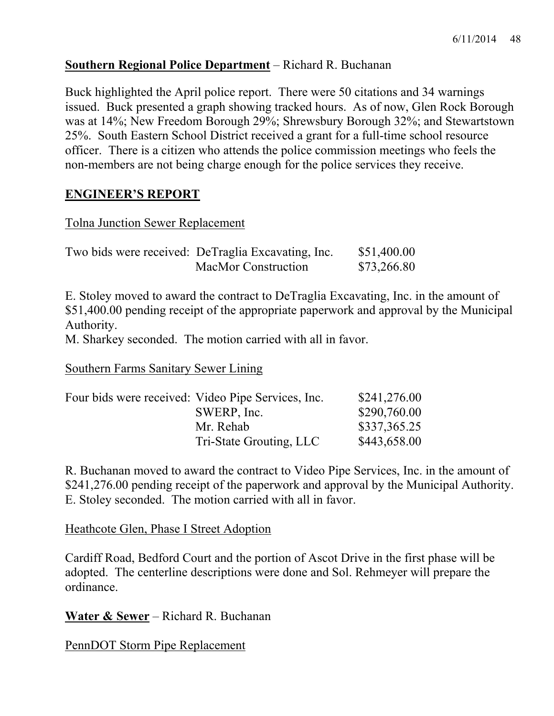## **Southern Regional Police Department** – Richard R. Buchanan

Buck highlighted the April police report. There were 50 citations and 34 warnings issued. Buck presented a graph showing tracked hours. As of now, Glen Rock Borough was at 14%; New Freedom Borough 29%; Shrewsbury Borough 32%; and Stewartstown 25%. South Eastern School District received a grant for a full-time school resource officer. There is a citizen who attends the police commission meetings who feels the non-members are not being charge enough for the police services they receive.

#### **ENGINEER'S REPORT**

#### Tolna Junction Sewer Replacement

| Two bids were received: DeTraglia Excavating, Inc. | \$51,400.00 |
|----------------------------------------------------|-------------|
| <b>MacMor Construction</b>                         | \$73,266.80 |

E. Stoley moved to award the contract to DeTraglia Excavating, Inc. in the amount of \$51,400.00 pending receipt of the appropriate paperwork and approval by the Municipal Authority.

M. Sharkey seconded. The motion carried with all in favor.

Southern Farms Sanitary Sewer Lining

| Four bids were received: Video Pipe Services, Inc. | \$241,276.00 |
|----------------------------------------------------|--------------|
| SWERP, Inc.                                        | \$290,760.00 |
| Mr. Rehab                                          | \$337,365.25 |
| Tri-State Grouting, LLC                            | \$443,658.00 |

R. Buchanan moved to award the contract to Video Pipe Services, Inc. in the amount of \$241,276.00 pending receipt of the paperwork and approval by the Municipal Authority. E. Stoley seconded. The motion carried with all in favor.

Heathcote Glen, Phase I Street Adoption

Cardiff Road, Bedford Court and the portion of Ascot Drive in the first phase will be adopted. The centerline descriptions were done and Sol. Rehmeyer will prepare the ordinance.

**Water & Sewer** – Richard R. Buchanan

PennDOT Storm Pipe Replacement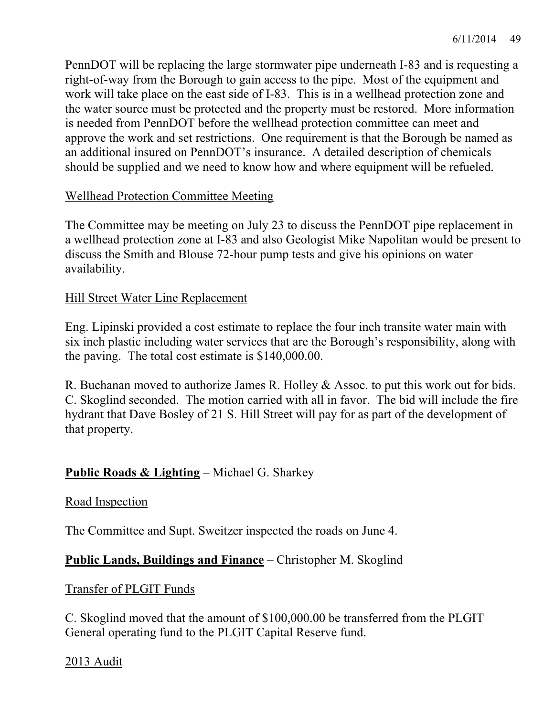PennDOT will be replacing the large stormwater pipe underneath I-83 and is requesting a right-of-way from the Borough to gain access to the pipe. Most of the equipment and work will take place on the east side of I-83. This is in a wellhead protection zone and the water source must be protected and the property must be restored. More information is needed from PennDOT before the wellhead protection committee can meet and approve the work and set restrictions. One requirement is that the Borough be named as an additional insured on PennDOT's insurance. A detailed description of chemicals should be supplied and we need to know how and where equipment will be refueled.

## Wellhead Protection Committee Meeting

The Committee may be meeting on July 23 to discuss the PennDOT pipe replacement in a wellhead protection zone at I-83 and also Geologist Mike Napolitan would be present to discuss the Smith and Blouse 72-hour pump tests and give his opinions on water availability.

## Hill Street Water Line Replacement

Eng. Lipinski provided a cost estimate to replace the four inch transite water main with six inch plastic including water services that are the Borough's responsibility, along with the paving. The total cost estimate is \$140,000.00.

R. Buchanan moved to authorize James R. Holley & Assoc. to put this work out for bids. C. Skoglind seconded. The motion carried with all in favor. The bid will include the fire hydrant that Dave Bosley of 21 S. Hill Street will pay for as part of the development of that property.

## **Public Roads & Lighting** – Michael G. Sharkey

#### Road Inspection

The Committee and Supt. Sweitzer inspected the roads on June 4.

## **Public Lands, Buildings and Finance** – Christopher M. Skoglind

#### Transfer of PLGIT Funds

C. Skoglind moved that the amount of \$100,000.00 be transferred from the PLGIT General operating fund to the PLGIT Capital Reserve fund.

## 2013 Audit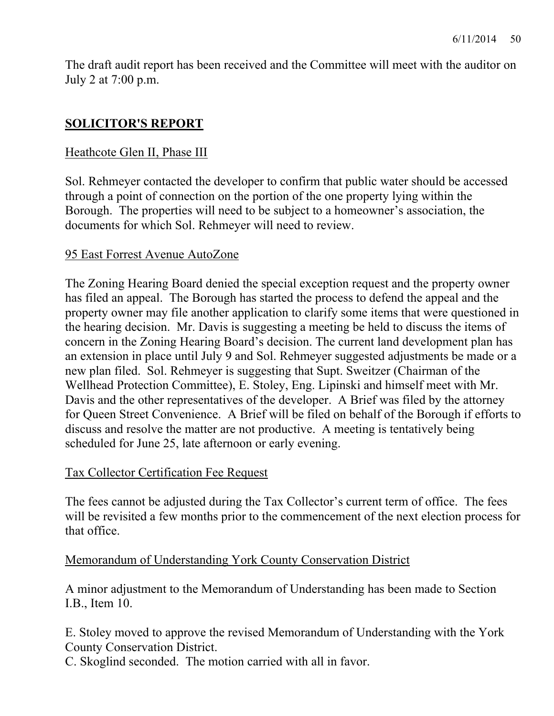The draft audit report has been received and the Committee will meet with the auditor on July 2 at 7:00 p.m.

## **SOLICITOR'S REPORT**

## Heathcote Glen II, Phase III

Sol. Rehmeyer contacted the developer to confirm that public water should be accessed through a point of connection on the portion of the one property lying within the Borough. The properties will need to be subject to a homeowner's association, the documents for which Sol. Rehmeyer will need to review.

## 95 East Forrest Avenue AutoZone

The Zoning Hearing Board denied the special exception request and the property owner has filed an appeal. The Borough has started the process to defend the appeal and the property owner may file another application to clarify some items that were questioned in the hearing decision. Mr. Davis is suggesting a meeting be held to discuss the items of concern in the Zoning Hearing Board's decision. The current land development plan has an extension in place until July 9 and Sol. Rehmeyer suggested adjustments be made or a new plan filed. Sol. Rehmeyer is suggesting that Supt. Sweitzer (Chairman of the Wellhead Protection Committee), E. Stoley, Eng. Lipinski and himself meet with Mr. Davis and the other representatives of the developer. A Brief was filed by the attorney for Queen Street Convenience. A Brief will be filed on behalf of the Borough if efforts to discuss and resolve the matter are not productive. A meeting is tentatively being scheduled for June 25, late afternoon or early evening.

#### Tax Collector Certification Fee Request

The fees cannot be adjusted during the Tax Collector's current term of office. The fees will be revisited a few months prior to the commencement of the next election process for that office.

#### Memorandum of Understanding York County Conservation District

A minor adjustment to the Memorandum of Understanding has been made to Section I.B., Item 10.

E. Stoley moved to approve the revised Memorandum of Understanding with the York County Conservation District.

C. Skoglind seconded. The motion carried with all in favor.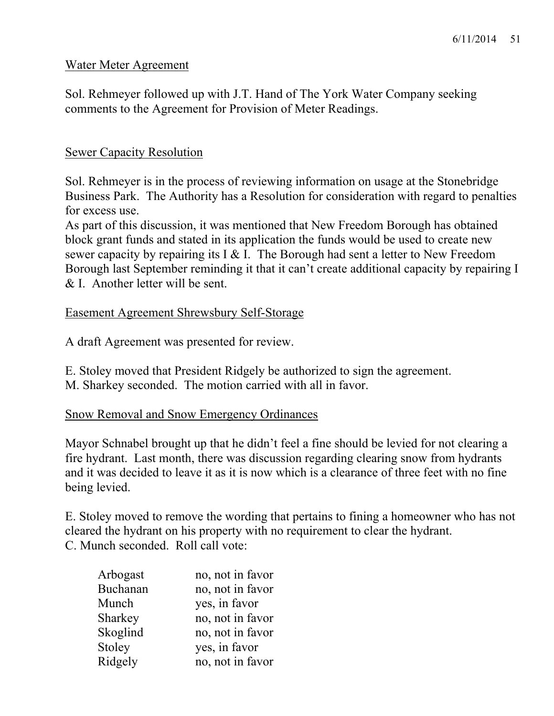#### Water Meter Agreement

Sol. Rehmeyer followed up with J.T. Hand of The York Water Company seeking comments to the Agreement for Provision of Meter Readings.

## Sewer Capacity Resolution

Sol. Rehmeyer is in the process of reviewing information on usage at the Stonebridge Business Park. The Authority has a Resolution for consideration with regard to penalties for excess use.

As part of this discussion, it was mentioned that New Freedom Borough has obtained block grant funds and stated in its application the funds would be used to create new sewer capacity by repairing its I & I. The Borough had sent a letter to New Freedom Borough last September reminding it that it can't create additional capacity by repairing I & I. Another letter will be sent.

## Easement Agreement Shrewsbury Self-Storage

A draft Agreement was presented for review.

E. Stoley moved that President Ridgely be authorized to sign the agreement. M. Sharkey seconded. The motion carried with all in favor.

#### Snow Removal and Snow Emergency Ordinances

Mayor Schnabel brought up that he didn't feel a fine should be levied for not clearing a fire hydrant. Last month, there was discussion regarding clearing snow from hydrants and it was decided to leave it as it is now which is a clearance of three feet with no fine being levied.

E. Stoley moved to remove the wording that pertains to fining a homeowner who has not cleared the hydrant on his property with no requirement to clear the hydrant. C. Munch seconded. Roll call vote:

| Arbogast | no, not in favor |
|----------|------------------|
| Buchanan | no, not in favor |
| Munch    | yes, in favor    |
| Sharkey  | no, not in favor |
| Skoglind | no, not in favor |
| Stoley   | yes, in favor    |
| Ridgely  | no, not in favor |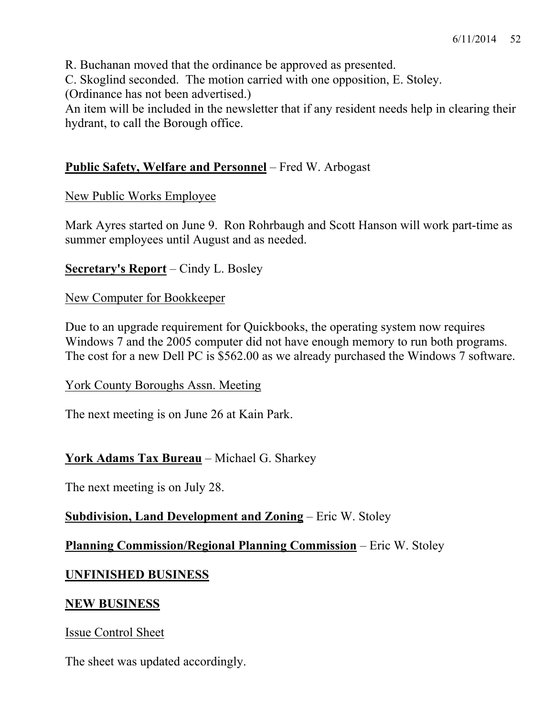R. Buchanan moved that the ordinance be approved as presented.

C. Skoglind seconded. The motion carried with one opposition, E. Stoley.

(Ordinance has not been advertised.)

An item will be included in the newsletter that if any resident needs help in clearing their hydrant, to call the Borough office.

## **Public Safety, Welfare and Personnel** – Fred W. Arbogast

## New Public Works Employee

Mark Ayres started on June 9. Ron Rohrbaugh and Scott Hanson will work part-time as summer employees until August and as needed.

## **Secretary's Report** – Cindy L. Bosley

## New Computer for Bookkeeper

Due to an upgrade requirement for Quickbooks, the operating system now requires Windows 7 and the 2005 computer did not have enough memory to run both programs. The cost for a new Dell PC is \$562.00 as we already purchased the Windows 7 software.

## York County Boroughs Assn. Meeting

The next meeting is on June 26 at Kain Park.

## **York Adams Tax Bureau** – Michael G. Sharkey

The next meeting is on July 28.

## **Subdivision, Land Development and Zoning** – Eric W. Stoley

## **Planning Commission/Regional Planning Commission** – Eric W. Stoley

## **UNFINISHED BUSINESS**

#### **NEW BUSINESS**

Issue Control Sheet

The sheet was updated accordingly.